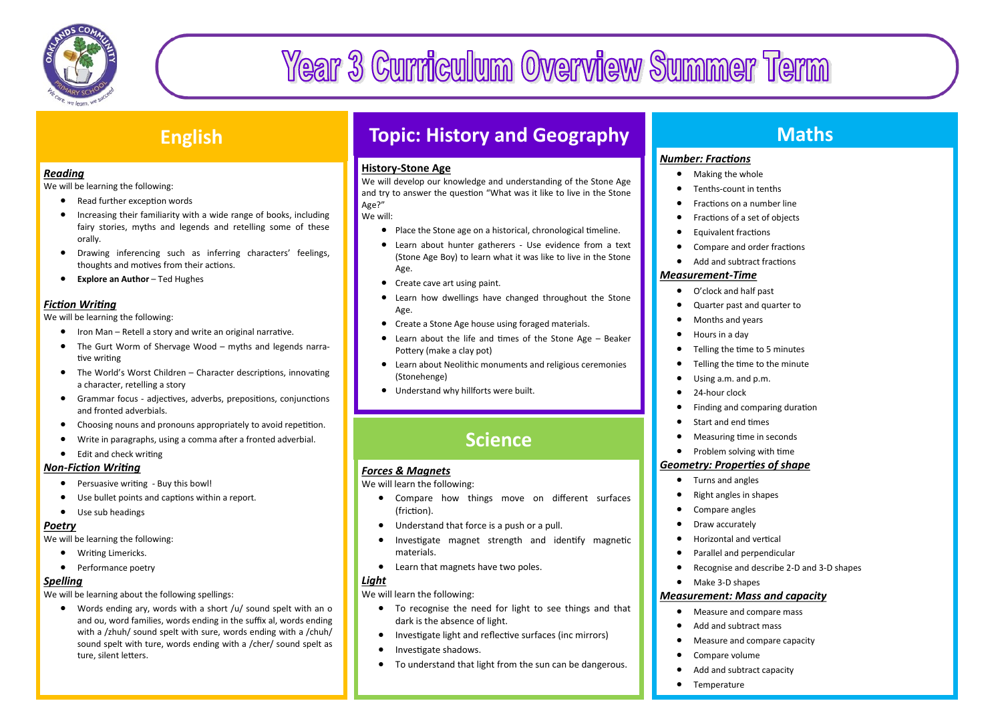

# Year 3 Curriculum Overview Summer Term

### **English**

#### *Reading*

We will be learning the following:

- Read further exception words
- Increasing their familiarity with a wide range of books, including fairy stories, myths and legends and retelling some of these orally.
- Drawing inferencing such as inferring characters' feelings, thoughts and motives from their actions.
- **Explore an Author** Ted Hughes

### *Fiction Writing*

We will be learning the following:

- Iron Man Retell a story and write an original narrative.
- The Gurt Worm of Shervage Wood myths and legends narrative writing
- The World's Worst Children Character descriptions, innovating a character, retelling a story
- Grammar focus adjectives, adverbs, prepositions, conjunctions and fronted adverbials.
- Choosing nouns and pronouns appropriately to avoid repetition.
- Write in paragraphs, using a comma after a fronted adverbial.
- Fdit and check writing

### *Non-Fiction Writing*

- Persuasive writing Buy this bowl!
- Use bullet points and captions within a report.
- Use sub headings

### *Poetry*

We will be learning the following:

- Writing Limericks.
- Performance poetry

### *Spelling*

We will be learning about the following spellings:

 Words ending ary, words with a short /u/ sound spelt with an o and ou, word families, words ending in the suffix al, words ending with a /zhuh/ sound spelt with sure, words ending with a /chuh/ sound spelt with ture, words ending with a /cher/ sound spelt as ture, silent letters.

### **Topic: History and Geography**

### **History-Stone Age**

We will develop our knowledge and understanding of the Stone Age and try to answer the question "What was it like to live in the Stone Age?"

We will:

- Place the Stone age on a historical, chronological timeline.
- Learn about hunter gatherers Use evidence from a text (Stone Age Boy) to learn what it was like to live in the Stone Age.
- Create cave art using paint.
- Learn how dwellings have changed throughout the Stone Age.
- Create a Stone Age house using foraged materials.
- Learn about the life and times of the Stone Age Beaker Pottery (make a clay pot)
- Learn about Neolithic monuments and religious ceremonies (Stonehenge)
- Understand why hillforts were built.

# **Science**

### *Forces & Magnets*

We will learn the following:

- Compare how things move on different surfaces (friction).
- Understand that force is a push or a pull.
- Investigate magnet strength and identify magnetic materials.
- Learn that magnets have two poles.

### *Light*

We will learn the following:

- To recognise the need for light to see things and that dark is the absence of light.
- Investigate light and reflective surfaces (inc mirrors)
- Investigate shadows.
- To understand that light from the sun can be dangerous.

### **Maths**

### *Number: Fractions*

- Making the whole
- **•** Tenths-count in tenths
- **•** Fractions on a number line
- Fractions of a set of objects
- Equivalent fractions
- Compare and order fractions
- Add and subtract fractions

### *Measurement-Time*

- O'clock and half past
- Quarter past and quarter to
- Months and years
- Hours in a day
- Telling the time to 5 minutes
- Telling the time to the minute
- Using a.m. and p.m.
- 24-hour clock
- Finding and comparing duration
- Start and end times
- Measuring time in seconds
- Problem solving with time

### *Geometry: Properties of shape*

- Turns and angles
- Right angles in shapes
- Compare angles
- Draw accurately
- Horizontal and vertical
- Parallel and perpendicular
- Recognise and describe 2-D and 3-D shapes
- Make 3-D shapes

### *Measurement: Mass and capacity*

- Measure and compare mass
- Add and subtract mass
- Measure and compare capacity
- Compare volume
- Add and subtract capacity
- **•** Temperature